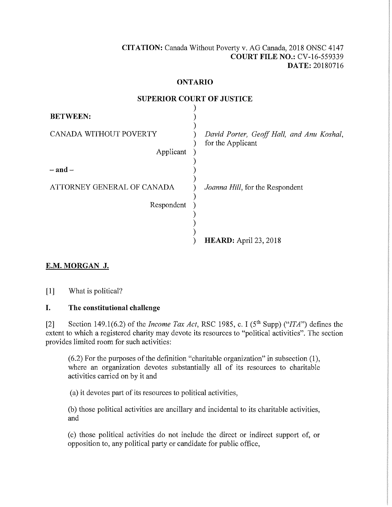### **CITATION:** Canada Without Poverty v. AG Canada, 2018 ONSC 4147 **COURT FILE NO.:** CV-16-559339 **DATE:** 20180716

#### **ONTARIO**

**SUPERIOR COURT OF HISTICE** 

| BUI ENION COUNT OF JUSTICE          |                                                                |
|-------------------------------------|----------------------------------------------------------------|
| <b>BETWEEN:</b>                     |                                                                |
| CANADA WITHOUT POVERTY<br>Applicant | David Porter, Geoff Hall, and Anu Koshal,<br>for the Applicant |
| $-$ and $-$                         |                                                                |
| ATTORNEY GENERAL OF CANADA          | Joanna Hill, for the Respondent                                |
| Respondent                          |                                                                |
|                                     |                                                                |
|                                     | <b>HEARD:</b> April 23, 2018                                   |

# **E.M. MORGAN J.**

[1] What is political?

## **I. The constitutional challenge**

[2] Section 149.1(6.2) of the *Income Tax Act,* RSC 1985, c. I (5th Supp) *("ITA")* defines the extent to which a registered charity may devote its resources to "political activities". The section provides limited room for such activities:

(6.2) For the purposes of the definition "charitable organization" in subsection (1), where an organization devotes substantially all of its resources to charitable activities carried on by it and

(a) it devotes part of its resources to political activities,

(b) those political activities are ancillary and incidental to its charitable activities, and

(c) those political activities do not include the direct or indirect support of, or opposition to, any political party or candidate for public office,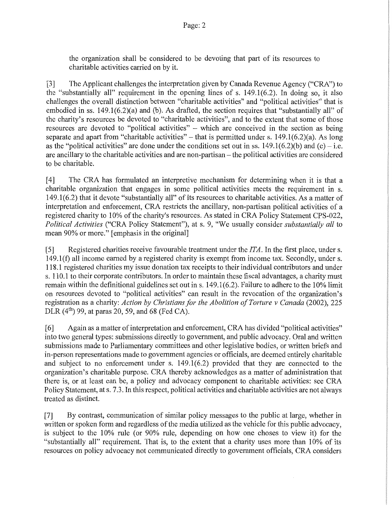the organization shall be considered to be devoting that part of its resources to charitable activities carried on by it.

[3] The Applicant challenges the interpretation given by Canada Revenue Agency ("CRA") to the "substantially all" requirement in the opening lines of s. 149.1(6.2). In doing so, it also challenges the overall distinction between "charitable activities" and "political activities" that is embodied in ss. 149.1(6.2)(a) and (b). As drafted, the section requires that "substantially all" of the charity's resources be devoted to "charitable activities", and to the extent that some of those resources are devoted to "political activities" - which are conceived in the section as being separate and apart from "charitable activities" – that is permitted under s.  $149.1(6.2)(a)$ . As long as the "political activities" are done under the conditions set out in ss.  $149.1(6.2)(b)$  and (c) – i.e. are ancillary to the charitable activities and are non-partisan- the political activities are considered to be charitable.

[4] The CRA has formulated an interpretive mechanism for determining when it is that a charitable organization that engages in some political activities meets the requirement in s. 149.1(6.2) that it devote "substantially all" of its resources to charitable activities. As a matter of interpretation and enforcement, CRA restricts the ancillary, non-partisan political activities of a registered charity to 10% of the charity's resources. As stated in CRA Policy Statement CPS-022, *Political Activities* ("CRA Policy Statement"), at s. 9, "We usually consider *substantially all* to mean 90% or more." [emphasis in the original]

[5] Registered charities receive favourable treatment under the *ITA.* In the first place, under s. 149.1(f) all income earned by a registered charity is exempt from income tax. Secondly, under s. 118.1 registered charities my issue donation tax receipts to their individual contributors and under s. 110.1 to their corporate contributors. In order to maintain these fiscal advantages, a charity must remain within the definitional guidelines set out in s. 149.1(6.2). Failure to adhere to the 10% limit on resources devoted to "political activities" can result in the revocation of the organization's registration as a charity: *Action by Christians for the Abolition of Torture v Canada* (2002), 225 DLR  $(4^{th})$  99, at paras 20, 59, and 68 (Fed CA).

[ 6] Again as a matter of interpretation and enforcement, CRA has divided "political activities" into two general types: submissions directly to government, and public advocacy. Oral and written submissions made to Parliamentary committees and other legislative bodies, or written briefs and in-person representations made to government agencies or officials, are deemed entirely charitable and subject to no enforcement under s. 149.1(6.2) provided that they are connected to the organization's charitable purpose. CRA thereby acknowledges as a matter of administration that there is, or at least can be, a policy and advocacy component to charitable activities: see CRA Policy Statement, at s. 7.3. In this respect, political activities and charitable activities are not always treated as distinct.

[7] By contrast, communication of similar policy messages to the public at large, whether in written or spoken form and regardless of the media utilized as the vehicle for this public advocacy, is subject to the 10% rule (or 90% rule, depending on how one choses to view it) for the "substantially all" requirement. That is, to the extent that a charity uses more than 10% of its resources on policy advocacy not communicated directly to government officials, CRA considers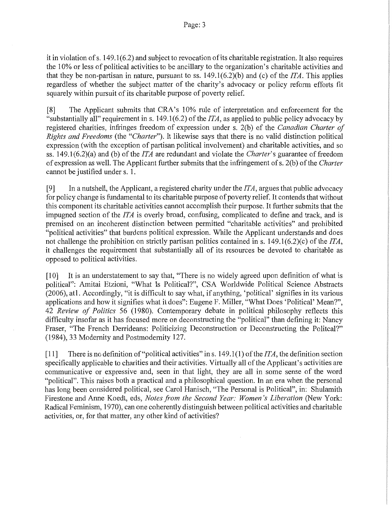it in violation of s. 149.1(6.2) and subject to revocation of its charitable registration. It also requires the 10% or less of political activities to be ancillary to the organization's charitable activities and that they be non-partisan in nature, pursuant to ss.  $149.1(6.2)(b)$  and (c) of the *ITA*. This applies regardless of whether the subject matter of the charity's advocacy or policy reform efforts fit squarely within pursuit of its charitable purpose of poverty relief.

[8] The Applicant submits that CRA's 10% rule of interpretation and enforcement for the "substantially all" requirement ins. 149.1(6.2) of the *ITA,* as applied to public policy advocacy by registered charities, infringes freedom of expression under s. 2(b) of the *Canadian Charter of Rights and Freedoms* (the *"Charter").* It likewise says that there is no valid distinction political expression (with the exception of partisan political involvement) and charitable activities, and so ss. 149.1(6.2)(a) and (b) of the *ITA* are redundant and violate the *Charter's* guarantee of freedom of expression as well. The Applicant further submits that the infringement of s. 2(b) of the *Charter*  cannot be justified under s. 1.

[9] In a nutshell, the Applicant, a registered charity under the *ITA,* argues that public advocacy for policy change is fundamental to its charitable purpose of poverty relief. It contends that without this component its charitable activities cannot accomplish their purpose. It further submits that the impugned section of the *ITA* is overly broad, confusing, complicated to define and track, and is premised on an incoherent distinction between permitted "charitable activities" and prohibited "political activities" that burdens political expression. While the Applicant understands and does not challenge the prohibition on strictly partisan politics contained ins. 149.1(6.2)(c) of the *ITA,*  it challenges the requirement that substantially all of its resources be devoted to charitable as opposed to political activities.

[10] It is an understatement to say that, "There is no widely agreed upon definition of what is political": Amitai Etzioni, "What Is Political?", CSA Worldwide Political Science Abstracts (2006), atl. Accordingly, "it is difficult to say what, if anything, 'political' signifies in its various applications and how it signifies what it does": Eugene F. Miller, "What Does 'Political' Mean?", 42 *Review of Politics* 56 (1980). Contemporary debate in political philosophy reflects this difficulty insofar as it has focused more on deconstructing the "political" than defining it: Nancy Fraser, "The French Derrideans: Politicizing Deconstruction or Deconstructing the Politcal?" (1984), 33 Modernity and Postmodemity 127.

[11] There is no definition of"political activities" ins. 149.1 (1) of the *ITA,* the definition section specifically applicable to charities and their activities. Virtually all of the Applicant's activities are communicative or expressive and, seen in that light, they are all in some sense of the word "political". This raises both a practical and a philosophical question. In an era when the personal has long been considered political, see Carol Hanisch, "The Personal is Political", in: Shulamith Firestone and Anne Koedt, eds, *Notes from the Second Year: Women's Liberation* (New York: Radical Feminism, 1970), can one coherently distinguish between political activities and charitable activities, or, for that matter, any other kind of activities?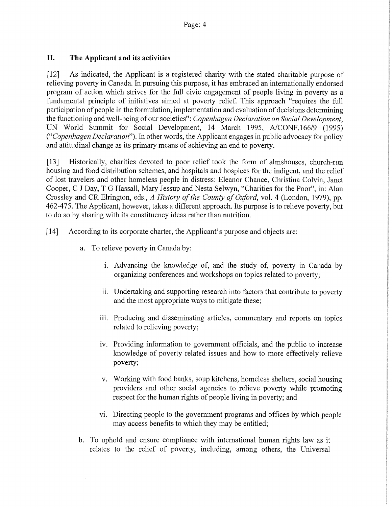## **II. The Applicant and its activities**

[12] As indicated, the Applicant is a registered charity with the stated charitable purpose of relieving poverty in Canada. In pursuing this purpose, it has embraced an internationally endorsed program of action which strives for the full civic engagement of people living in poverty as a fundamental principle of initiatives aimed at poverty relief. This approach "requires the full participation of people in the formulation, implementation and evaluation of decisions determining the functioning and well-being of our societies": *Copenhagen Declaration on Social Development,*  UN World Summit for Social Development, 14 March 1995, A/CONF.166/9 (1995) *("Copenhagen Declaration").* In other words, the Applicant engages in public advocacy for policy and attitudinal change as its primary means of achieving an end to poverty.

[13] Historically, charities devoted to poor relief took the form of almshouses, church-run housing and food distribution schemes, and hospitals and hospices for the indigent, and the relief of lost travelers and other homeless people in distress: Eleanor Chance, Christina Colvin, Janet Cooper, C J Day, T G Hassall, Mary Jessup and Nesta Selwyn, "Charities for the Poor", in: Alan Crossley and CR Elrington, eds., *A History of the County of Oxford,* vol. 4 (London, 1979), pp. 462-475. The Applicant, however, takes a different approach. Its purpose is to relieve poverty, but to do so by sharing with its constituency ideas rather than nutrition.

- [14] According to its corporate charter, the Applicant's purpose and objects are:
	- a. To relieve poverty in Canada by:
		- 1. Advancing the knowledge of, and the study of, poverty in Canada by organizing conferences and workshops on topics related to poverty;
		- ii. Undertaking and supporting research into factors that contribute to poverty and the most appropriate ways to mitigate these;
		- iii. Producing and disseminating articles, commentary and reports on topics related to relieving poverty;
		- iv. Providing information to government officials, and the public to increase knowledge of poverty related issues and how to more effectively relieve poverty;
		- v. Working with food banks, soup kitchens, homeless shelters, social housing providers and other social agencies to relieve poverty while promoting respect for the human rights of people living in poverty; and
		- v1. Directing people to the government programs and offices by which people may access benefits to which they may be entitled;
	- b. To uphold and ensure compliance with international human rights law as it relates to the relief of poverty, including, among others, the Universal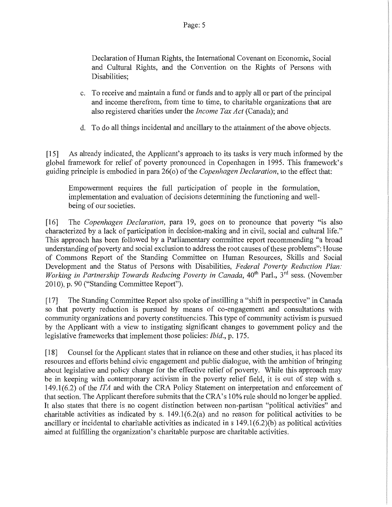Declaration of Human Rights, the International Covenant on Economic, Social and Cultural Rights, and the Convention on the Rights of Persons with Disabilities;

- c. To receive and maintain a fund or funds and to apply all or part of the principal and income therefrom, from time to time, to charitable organizations that are also registered charities under the *Income Tax Act* (Canada); and
- d. To do all things incidental and ancillary to the attainment of the above objects.

[15] As already indicated, the Applicant's approach to its tasks is very much informed by the global framework for relief of poverty pronounced in Copenhagen in 1995. This framework's guiding principle is embodied in para 26( o) of the *Copenhagen Declaration,* to the effect that:

Empowerment requires the full participation of people in the formulation, implementation and evaluation of decisions determining the functioning and wellbeing of our societies.

[16] The *Copenhagen Declaration,* para 19, goes on to pronounce that poverty "is also characterized by a lack of participation in decision-making and in civil, social and cultural life." This approach has been followed by a Parliamentary committee report recommending "a broad understanding of poverty and social exclusion to address the root causes of these problems": House of Commons Report of the Standing Committee on Human Resources, Skills and Social Development and the Status of Persons with Disabilities, *Federal Poverty Reduction Plan:*  Working in Partnership Towards Reducing Poverty in Canada, 40<sup>th</sup> Parl., 3<sup>rd</sup> sess. (November 2010), p. 90 ("Standing Committee Report").

[ 17] The Standing Committee Report also spoke of instilling a "shift in perspective" in Canada so that poverty reduction is pursued by means of co-engagement and consultations with community organizations and poverty constituencies. This type of community activism is pursued by the Applicant with a view to instigating significant changes to government policy and the legislative frameworks that implement those policies: *Ibid.,* p. 175.

[18] Counsel for the Applicant states that in reliance on these and other studies, it has placed its resources and efforts behind civic engagement and public dialogue, with the ambition of bringing about legislative and policy change for the effective relief of poverty. While this approach may be in keeping with contemporary activism in the poverty relief field, it is out of step with s. 149.1(6.2) of the *ITA* and with the CRA Policy Statement on interpretation and enforcement of that section. The Applicant therefore submits that the CRA's 10% rule should no longer be applied. It also states that there is no cogent distinction between non-partisan "political activities" and charitable activities as indicated by s. 149.1(6.2(a) and no reason for political activities to be ancillary or incidental to charitable activities as indicated in s 149.1(6.2)(b) as political activities aimed at fulfilling the organization's charitable purpose are charitable activities.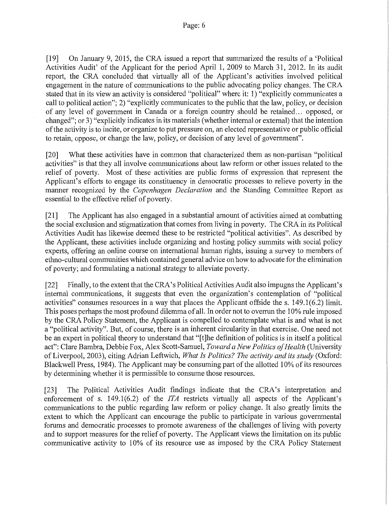[19] On January 9, 2015, the CRA issued a report that summarized the results of a 'Political Activities Audit' of the Applicant for the period April 1, 2009 to March 31, 2012. In its audit report, the CRA concluded that virtually all of the Applicant's activities involved political engagement in the nature of communications to the public advocating policy changes. The CRA stated that in its view an activity is considered "political" where it: 1) "explicitly communicates a call to political action"; 2) "explicitly communicates to the public that the law, policy, or decision of any level of government in Canada or a foreign country should be retained ... opposed, or changed"; or 3) "explicitly indicates in its materials (whether internal or external) that the intention of the activity is to incite, or organize to put pressure on, an elected representative or public official to retain, oppose, or change the law, policy, or decision of any level of government".

[20] What these activities have in common that characterized them as non-partisan "political activities" is that they all involve communications about law reform or other issues related to the relief of poverty. Most of these activities are public forms of expression that represent the Applicant's efforts to engage its constituency in democratic processes to relieve poverty in the manner recognized by the *Copenhagen Declaration* and the Standing Committee Report as essential to the effective relief of poverty.

[21] The Applicant has also engaged in a substantial amount of activities aimed at combatting the social exclusion and stigmatization that comes from living in poverty. The CRA in its Political Activities Audit has likewise deemed these to be restricted "political activities". As described by the Applicant, these activities include organizing and hosting policy summits with social policy experts, offering an online course on international human rights, issuing a survey to members of ethno-cultural communities which contained general advice on how to advocate for the elimination of poverty; and formulating a national strategy to alleviate poverty.

[22] Finally, to the extent that the CRA's Political Activities Audit also impugns the Applicant's internal communications, it suggests that even the organization's contemplation of "political activities" consumes resources in a way that places the Applicant offside the s. 149.1(6.2) limit. This poses perhaps the most profound dilemma of all. In order not to overrun the 10% rule imposed by the CRA Policy Statement, the Applicant is compelled to contemplate what is and what is not a "political activity". But, of course, there is an inherent circularity in that exercise. One need not be an expert in political theory to understand that "[t]he definition of politics is in itself a political act": Clare Bambra, Debbie Fox, Alex Scott-Samuel, *Toward a New Politics of Health* (University of Liverpool, 2003), citing Adrian Leftwich, *What Is Politics? The activity and its study* (Oxford: Blackwell Press, 1984). The Applicant may be consuming part of the allotted 10% of its resources by determining whether it is permissible to consume those resources.

[23] The Political Activities Audit findings indicate that the CRA's interpretation and enforcement of s. 149.1(6.2) of the *ITA* restricts virtually all aspects of the Applicant's communications to the public regarding law reform or policy change. It also greatly limits the extent to which the Applicant can encourage the public to participate in various governmental forums and democratic processes to promote awareness of the challenges of living with poverty and to support measures for the relief of poverty. The Applicant views the limitation on its public communicative activity to 10% of its resource use as imposed by the CRA Policy Statement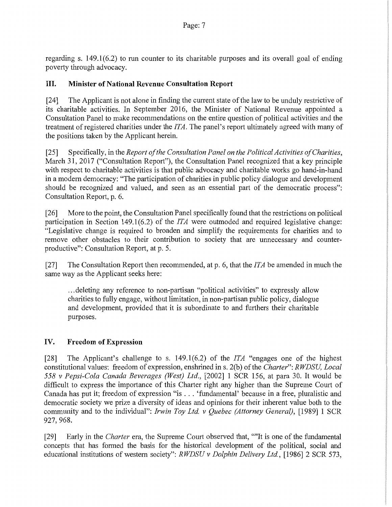regarding s. 149.1(6.2) to run counter to its charitable purposes and its overall goal of ending poverty through advocacy.

## **III. Minister of National Revenue Consultation Report**

[24] The Applicant is not alone in finding the current state of the law to be unduly restrictive of its charitable activities. In September 2016, the Minister of National Revenue appointed a Consultation Panel to make recommendations on the entire question of political activities and the treatment of registered charities under the *ITA.* The panel's report ultimately agreed with many of the positions taken by the Applicant herein.

[25] Specifically, in the *Report of the Consultation Panel on the Political Activities of Charities,*  March 31, 2017 ("Consultation Report"), the Consultation Panel recognized that a key principle with respect to charitable activities is that public advocacy and charitable works go hand-in-hand in a modem democracy: "The participation of charities in public policy dialogue and development should be recognized and valued, and seen as an essential part of the democratic process": Consultation Report, p. 6.

[26] More to the point, the Consultation Panel specifically found that the restrictions on political participation in Section 149.1(6.2) of the *ITA* were outmoded and required legislative change: "Legislative change is required to broaden and simplify the requirements for charities and to remove other obstacles to their contribution to society that are unnecessary and counterproductive": Consultation Report, at p. 5.

[27] The Consultation Report then recommended, at p. 6, that the *ITA* be amended in much the same way as the Applicant seeks here:

... deleting any reference to non-partisan "political activities" to expressly allow charities to fully engage, without limitation, in non-partisan public policy, dialogue and development, provided that it is subordinate to and furthers their charitable purposes.

# IV. **Freedom of Expression**

[28] The Applicant's challenge to s. 149.1(6.2) of the *ITA* "engages one of the highest constitutional values: freedom of expression, enshrined ins. 2(b) of the *Charter": RWDSU, Local 558 v Pepsi-Cola Canada Beverages (West) Ltd.,* [2002] 1 SCR 156, at para 30. It would be difficult to express the importance of this Charter right any higher than the Supreme Court of Canada has put it; freedom of expression "is ... 'fundamental' because in a free, pluralistic and democratic society we prize a diversity of ideas and opinions for their inherent value both to the community and to the individual": *Irwin Toy Ltd. v Quebec (Attorney General)*, [1989] 1 SCR 927, 968.

[29] Early in the *Charter* era, the Supreme Court observed that, ""It is one of the fundamental concepts that has formed the basis for the historical development of the political, social and educational institutions of western society": *RWDSU v Dolphin Delivery Ltd.,* [1986] 2 SCR 573,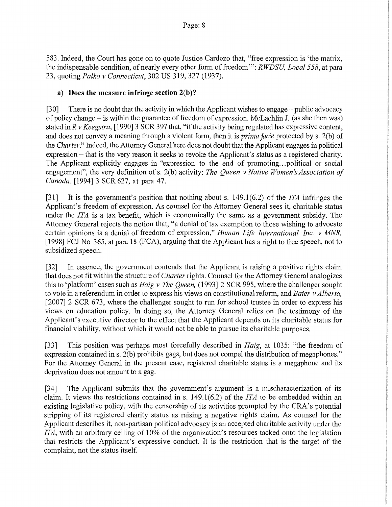583. Indeed, the Court has gone on to quote Justice Cardozo that, "free expression is 'the matrix, the indispensable condition, of nearly every other form of freedom"': *RWDSU, Local 558,* at para 23, quoting *Palko v Connecticut,* 302 US 319,327 (1937).

## **a) Does the measure infringe section 2(b)?**

[30] There is no doubt that the activity in which the Applicant wishes to engage – public advocacy of policy change - is within the guarantee of freedom of expression. McLachlin J. (as she then was) stated in *R v Keegstra,* [1990] 3 SCR 397 that, "if the activity being regulated has expressive content, and does not convey a meaning through a violent form, then it is *prima facie* protected by s. 2(b) of the *Charter."* Indeed, the Attorney General here does not doubt that the Applicant engages in political expression – that is the very reason it seeks to revoke the Applicant's status as a registered charity. The Applicant explicitly engages in "expression to the end of promoting ... political or social engagement", the very definition of s. 2(b) activity: *The Queen v Native Women's Association of Canada,* [1994] 3 SCR 627, at para 47.

[31] It is the government's position that nothing about s. 149.1(6.2) of the *ITA* infringes the Applicant's freedom of expression. As counsel for the Attorney General sees it, charitable status under the *ITA* is a tax benefit, which is economically the same as a government subsidy. The Attorney General rejects the notion that, "a denial of tax exemption to those wishing to advocate certain opinions is a denial of freedom of expression," *Human Life International Inc. v MNR,*  [1998] FCJ No 365, at para 18 (FCA), arguing that the Applicant has a right to free speech, not to subsidized speech.

[32] In essence, the government contends that the Applicant is raising a positive rights claim that does not fit within the structure of *Charter* rights. Counsel for the Attorney General analogizes this to 'platform' cases such as *Haig v The Queen,* (1993] 2 SCR 995, where the challenger sought to vote in a referendum in order to express his views on constitutional reform, and *Baier v Alberta,*  [2007] 2 SCR 673, where the challenger sought to run for school trustee in order to express his views on education policy. In doing so, the Attorney General relies on the testimony of the Applicant's executive director to the effect that the Applicant depends on its charitable status for financial viability, without which it would not be able to pursue its charitable purposes.

[33] This position was perhaps most forcefully described in *Haig,* at 1035: "the freedom of expression contained in s. 2(b) prohibits gags, but does not compel the distribution of megaphones." For the Attorney General in the present case, registered charitable status is a megaphone and its deprivation does not amount to a gag.

[34] The Applicant submits that the government's argument is a mischaracterization of its claim. It views the restrictions contained ins. 149.1(6.2) of the *ITA* to be embedded within an existing legislative policy, with the censorship of its activities prompted by the CRA's potential stripping of its registered charity status as raising a negative rights claim. As counsel for the Applicant describes it, non-partisan political advocacy is an accepted charitable activity under the *ITA,* with an arbitrary ceiling of 10% of the organization's resources tacked onto the legislation that restricts the Applicant's expressive conduct. It is the restriction that is the target of the complaint, not the status itself.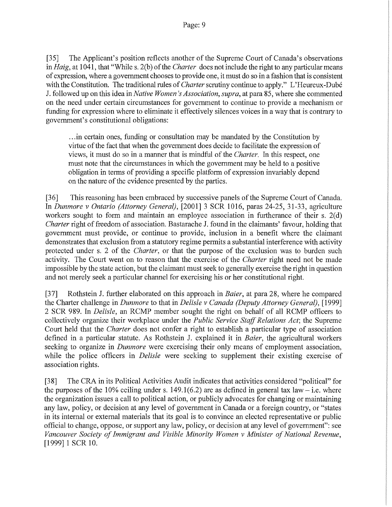[35] The Applicant's position reflects another of the Supreme Court of Canada's observations in *Haig*, at 1041, that "While s. 2(b) of the *Charter* does not include the right to any particular means of expression, where a government chooses to provide one, it must do so in a fashion that is consistent with the Constitution. The traditional rules of *Charter scrutiny continue to apply.*" L'Heureux-Dubé J. followed up on this idea in *Native Women's Association, supra,* at para 85, where she commented on the need under certain circumstances for government to continue to provide a mechanism or funding for expression where to eliminate it effectively silences voices in a way that is contrary to government's constitutional obligations:

.. .in certain ones, funding or consultation may be mandated by the Constitution by virtue of the fact that when the government does decide to facilitate the expression of views, it must do so in a manner that is mindful of the *Charter.* In this respect, one must note that the circumstances in which the government may be held to a positive obligation in terms of providing a specific platform of expression invariably depend on the nature of the evidence presented by the parties.

[36] This reasoning has been embraced by successive panels of the Supreme Court of Canada. In *Dunmore v Ontario (Attorney General),* [2001] 3 SCR 1016, paras 24-25, 31-33, agriculture workers sought to form and maintain an employee association in furtherance of their s.  $2(d)$ *Charter* right of freedom of association. Bastarache J. found in the claimants' favour, holding that government must provide, or continue to provide, inclusion in a benefit where the claimant demonstrates that exclusion from a statutory regime permits a substantial interference with activity protected under s. 2 of the *Charter,* or that the purpose of the exclusion was to burden such activity. The Court went on to reason that the exercise of the *Charter* right need not be made impossible by the state action, but the claimant must seek to generally exercise the right in question and not merely seek a particular channel for exercising his or her constitutional right.

[37] Rothstein J. further elaborated on this approach in *Baier,* at para 28, where he compared the Charter challenge in *Dunmore* to that in *Delisle v Canada (Deputy Attorney General),* [1999] 2 SCR 989. In *Delisle,* an RCMP member sought the right on behalf of all RCMP officers to collectively organize their workplace under the *Public Service Staff Relations Act;* the Supreme Court held that the *Charter* does not confer a right to establish a particular type of association defined in a particular statute. As Rothstein J. explained it in *Baier,* the agricultural workers seeking to organize in *Dunmore* were exercising their only means of employment association, while the police officers in *Delisle* were seeking to supplement their existing exercise of association rights.

[3 8] The CRA in its Political Activities Audit indicates that activities considered "political" for the purposes of the 10% ceiling under s. 149.1(6.2) are as defined in general tax law – i.e. where the organization issues a call to political action, or publicly advocates for changing or maintaining any law, policy, or decision at any level of government in Canada or a foreign country, or "states in its internal or external materials that its goal is to convince an elected representative or public official to change, oppose, or support any law, policy, or decision at any level of government": see *Vancouver Society of Immigrant and Visible Minority Women v Minister of National Revenue,*  [1999] 1 SCR 10.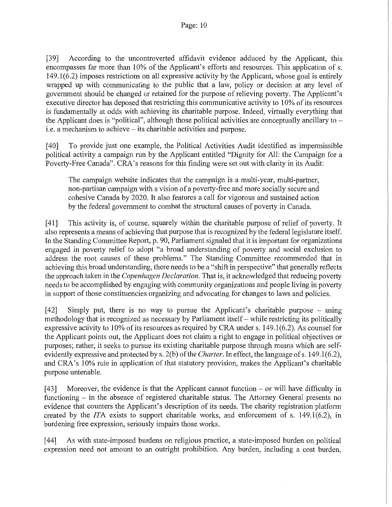[39] According to the uncontroverted affidavit evidence adduced by the Applicant, this encompasses far more than 10% of the Applicant's efforts and resources. This application of s. 149.1(6.2) imposes restrictions on all expressive activity by the Applicant, whose goal is entirely wrapped up with communicating to the public that a law, policy or decision at any level of government should be changed or retained for the purpose of relieving poverty. The Applicant's executive director has deposed that restricting this communicative activity to 10% of its resources is fundamentally at odds with achieving its charitable purpose. Indeed, virtually everything that the Applicant does is "political", although those political activities are conceptually ancillary to  $$ i.e. a mechanism to achieve - its charitable activities and purpose.

[40] To provide just one example, the Political Activities Audit identified as impermissible political activity a campaign run by the Applicant entitled "Dignity for All: the Campaign for a Poverty-Free Canada". CRA's reasons for this finding were set out with clarity in its Audit:

The campaign website indicates that the campaign is a multi-year, multi-partner, non-partisan campaign with a vision of a poverty-free and more socially secure and cohesive Canada by 2020. It also features a call for vigorous and sustained action by the federal government to combat the structural causes of poverty in Canada.

[ 41] This activity is, of course, squarely within the charitable purpose of relief of poverty. It also represents a means of achieving that purpose that is recognized by the federal legislature itself. In the Standing Committee Report, p. 90, Parliament signaled that it is important for organizations engaged in poverty relief to adopt "a broad understanding of poverty and social exclusion to address the root causes of these problems." The Standing Committee recommended that in achieving this broad understanding, there needs to be a "shift in perspective" that generally reflects the approach taken in the *Copenhagen Declaration*. That is, it acknowledged that reducing poverty needs to be accomplished by engaging with community organizations and people living in poverty in support of those constituencies organizing and advocating for changes to laws and policies.

[42] Simply put, there is no way to pursue the Applicant's charitable purpose – using methodology that is recognized as necessary by Parliament itself- while restricting its politically expressive activity to  $10\%$  of its resources as required by CRA under s.  $149.1(6.2)$ . As counsel for the Applicant points out, the Applicant does not claim a right to engage in political objectives or purposes; rather, it seeks to pursue its existing charitable purpose through means which are selfevidently expressive and protected by s. 2(b) of the *Charter*. In effect, the language of s. 149.1(6.2), and CRA's 10% rule in application of that statutory provision, makes the Applicant's charitable purpose untenable.

[43] Moreover, the evidence is that the Applicant cannot function – or will have difficulty in functioning  $-$  in the absence of registered charitable status. The Attorney General presents no evidence that counters the Applicant's description of its needs. The charity registration platform created by the *ITA* exists to support charitable works, and enforcement of s. 149.1(6.2), in burdening free expression, seriously impairs those works.

[44] As with state-imposed burdens on religious practice, a state-imposed burden on political expression need not amount to an outright prohibition. Any burden, including a cost burden,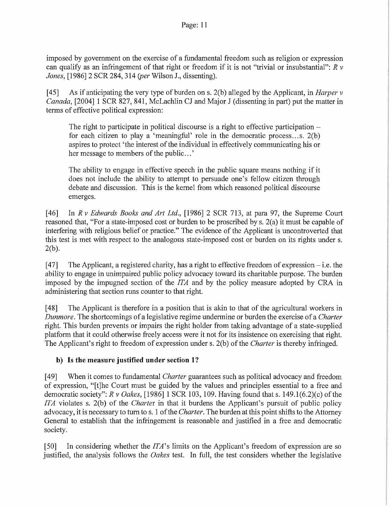imposed by government on the exercise of a fundamental freedom such as religion or expression can qualify as an infringement of that right or freedom if it is not "trivial or insubstantial": *R v Jones,* [1986] 2 SCR 284, 314 *(per* Wilson J., dissenting).

[ 45] As if anticipating the very type of burden on s. 2(b) alleged by the Applicant, in *Harper v Canada,* [2004] 1 SCR 827, 841, McLachlin CJ and Major J (dissenting in part) put the matter in terms of effective political expression:

The right to participate in political discourse is a right to effective participation  $$ for each citizen to play a 'meaningful' role in the democratic process ... s. 2(b) aspires to protect 'the interest of the individual in effectively communicating his or her message to members of the public ... '

The ability to engage in effective speech in the public square means nothing if it does not include the ability to attempt to persuade one's fellow citizen through debate and discussion. This is the kernel from which reasoned political discourse emerges.

[46] In *R v Edwards Books and Art Ltd.,* [1986] 2 SCR 713, at para 97, the Supreme Court reasoned that, "For a state-imposed cost or burden to be proscribed by s. 2(a) it must be capable of interfering with religious belief or practice." The evidence of the Applicant is uncontroverted that this test is met with respect to the analogous state-imposed cost or burden on its rights under s. 2(b).

 $[47]$  The Applicant, a registered charity, has a right to effective freedom of expression – i.e. the ability to engage in unimpaired public policy advocacy toward its charitable purpose. The burden imposed by the impugned section of the *ITA* and by the policy measure adopted by CRA in administering that section runs counter to that right.

[ 48] The Applicant is therefore in a position that is akin to that of the agricultural workers in *Dunmore.* The shortcomings of a legislative regime undermine or burden the exercise of a *Charter*  right. This burden prevents or impairs the right holder from taking advantage of a state-supplied platform that it could otherwise freely access were it not for its insistence on exercising that right. The Applicant's right to freedom of expression under s. 2(b) of the *Charter* is thereby infringed.

# **b) Is the measure justified under section 1?**

[ 49] When it comes to fundamental *Charter* guarantees such as political advocacy and freedom of expression, "[t]he Court must be guided by the values and principles essential to a free and democratic society": *R v Oakes*, [1986] 1 SCR 103, 109. Having found that s. 149.1(6.2)(c) of the *ITA* violates s. 2(b) of the *Charter* in that it burdens the Applicant's pursuit of public policy advocacy, it is necessary to tum to s. 1 of the *Charter.* The burden at this point shifts to the Attorney General to establish that the infringement is reasonable and justified in a free and democratic society.

[50] In considering whether the *ITA's* limits on the Applicant's freedom of expression are so justified, the analysis follows the *Oakes* test. In full, the test considers whether the legislative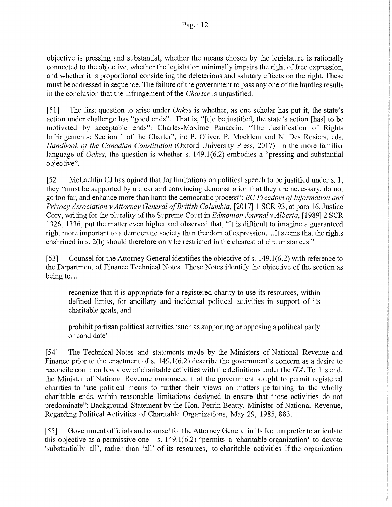objective is pressing and substantial, whether the means chosen by the legislature is rationally connected to the objective, whether the legislation minimally impairs the right of free expression, and whether it is proportional considering the deleterious and salutary effects on the right. These must be addressed in sequence. The failure of the government to pass any one of the hurdles results in the conclusion that the infringement of the *Charter* is unjustified.

[51] The first question to arise under *Oakes* is whether, as one scholar has put it, the state's action under challenge has "good ends". That is, "[t]o be justified, the state's action [has] to be motivated by acceptable ends": Charles-Maxime Panaccio, "The Justification of Rights Infringements: Section 1 of the Charter", in: P. Oliver, P. Macklem and N. Des Rosiers, eds, *Handbook of the Canadian Constitution* (Oxford University Press, 2017). In the more familiar language of *Oakes*, the question is whether s. 149.1(6.2) embodies a "pressing and substantial objective".

[52] McLachlin CJ has opined that for limitations on political speech to be justified under s. 1, they "must be supported by a clear and convincing demonstration that they are necessary, do not go too far, and enhance more than harm the democratic process": *BC Freedom of Information and Privacy Association v Attorney General of British Columbia,* [2017] 1 SCR 93, at para 16. Justice Cory, writing for the plurality of the Supreme Court in *Edmonton Journal v Alberta,* [1989] 2 SCR 1326, 1336, put the matter even higher and observed that, "It is difficult to imagine a guaranteed right more important to a democratic society than freedom of expression ... .It seems that the rights enshrined in s. 2(b) should therefore only be restricted in the clearest of circumstances."

[53] Counsel for the Attorney General identifies the objective of s. 149.1(6.2) with reference to the Department of Finance Technical Notes. Those Notes identify the objective of the section as being to...

recognize that it is appropriate for a registered charity to use its resources, within defined limits, for ancillary and incidental political activities in support of its charitable goals, and

prohibit partisan political activities 'such as supporting or opposing a political party or candidate'.

[54] The Technical Notes and statements made by the Ministers of National Revenue and Finance prior to the enactment of s. 149.1(6.2) describe the government's concern as a desire to reconcile common law view of charitable activities with the definitions under the *ITA.* To this end, the Minister of National Revenue announced that the government sought to permit registered charities to 'use political means to further their views on matters pertaining to the wholly charitable ends, within reasonable limitations designed to ensure that those activities do not predominate": Background Statement by the Hon. Perrin Beatty, Minister of National Revenue, Regarding Political Activities of Charitable Organizations, May 29, 1985, 883.

[55] Government officials and counsel for the Attorney General in its factum prefer to articulate this objective as a permissive one  $-$  s. 149.1(6.2) "permits a 'charitable organization' to devote 'substantially all', rather than 'all' of its resources, to charitable activities if the organization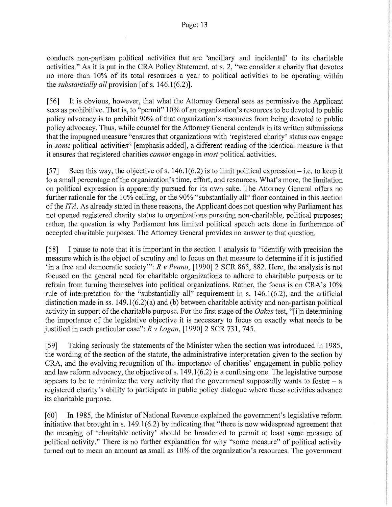conducts non-partisan political activities that are 'ancillary and incidental' to its charitable activities." As it is put in the CRA Policy Statement, at s. 2, "we consider a charity that devotes no more than 10% of its total resources a year to political activities to be operating within the *substantially all* provision [of s. 146.1(6.2)].

[56] It is obvious, however, that what the Attorney General sees as permissive the Applicant sees as prohibitive. That is, to "permit" 10% of an organization's resources to be devoted to public policy advocacy is to prohibit 90% of that organization's resources from being devoted to public policy advocacy. Thus, while counsel for the Attorney General contends in its written submissions that the impugned measure "ensures that organizations with 'registered charity' status *can* engage in *some* political activities" [emphasis added], a different reading ofthe identical measure is that it ensures that registered charities *cannot* engage in *most* political activities.

[57] Seen this way, the objective of s.  $146.1(6.2)$  is to limit political expression – i.e. to keep it to a small percentage of the organization's time, effort, and resources. What's more, the limitation on political expression is apparently pursued for its own sake. The Attorney General offers no further rationale for the 10% ceiling, or the 90% "substantially all" floor contained in this section of the *ITA.* As already stated in these reasons, the Applicant does not question why Parliament has not opened registered charity status to organizations pursuing non-charitable, political purposes; rather, the question is why Parliament has limited political speech acts done in furtherance of accepted charitable purposes. The Attorney General provides no answer to that question.

[58] I pause to note that it is important in the section 1 analysis to "identify with precision the measure which is the object of scrutiny and to focus on that measure to determine if it is justified 'in a free and democratic society'": *R v Penno*, [1990] 2 SCR 865, 882. Here, the analysis is not focused on the general need for charitable organizations to adhere to charitable purposes or to refrain from turning themselves into political organizations. Rather, the focus is on CRA's 10% rule of interpretation for the "substantially all" requirement in s.  $146.1(6.2)$ , and the artificial distinction made in ss. 149.1(6.2)(a) and (b) between charitable activity and non-partisan political activity in support of the charitable purpose. For the first stage of the *Oakes* test, "[i]n determining the importance of the legislative objective it is necessary to focus on exactly what needs to be justified in each particular case": *R v Logan,* [1990] 2 SCR 731, 745.

[59] Taking seriously the statements of the Minister when the section was introduced in 1985, the wording of the section of the statute, the administrative interpretation given to the section by CRA, and the evolving recognition of the importance of charities' engagement in public policy and law reform advocacy, the objective of s. 149.1(6.2) is a confusing one. The legislative purpose appears to be to minimize the very activity that the government supposedly wants to foster  $-$  a registered charity's ability to participate in public policy dialogue where these activities advance its charitable purpose.

[60] In 1985, the Minister of National Revenue explained the government's legislative reform initiative that brought in s.  $149.1(6.2)$  by indicating that "there is now widespread agreement that the meaning of 'charitable activity' should be broadened to permit at least some measure of political activity." There is no further explanation for why "some measure" of political activity turned out to mean an amount as small as 10% of the organization's resources. The government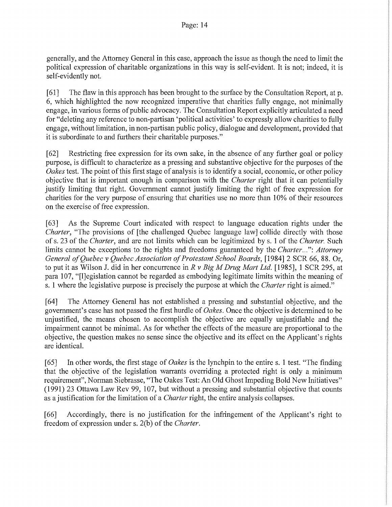generally, and the Attorney General in this case, approach the issue as though the need to limit the political expression of charitable organizations in this way is self-evident. It is not; indeed, it is self-evidently not.

[61] The flaw in this approach has been brought to the surface by the Consultation Report, at p. 6, which highlighted the now recognized imperative that charities fully engage, not minimally engage, in various forms of public advocacy. The Consultation Report explicitly articulated a need for "deleting any reference to non-partisan 'political activities' to expressly allow charities to fully engage, without limitation, in non-partisan public policy, dialogue and development, provided that it is subordinate to and furthers their charitable purposes."

[62] Restricting free expression for its own sake, in the absence of any further goal or policy purpose, is difficult to characterize as a pressing and substantive objective for the purposes of the *Oakes* test. The point of this first stage of analysis is to identify a social, economic, or other policy objective that is important enough in comparison with the *Charter* right that it can potentially justify limiting that right. Government cannot justify limiting the right of free expression for charities for the very purpose of ensuring that charities use no more than 10% of their resources on the exercise of free expression.

[63] As the Supreme Court indicated with respect to language education rights under the *Charter*, "The provisions of [the challenged Quebec language law] collide directly with those of s. 23 of the *Charter,* and are not limits which can be legitimized by s. 1 of the *Charter.* Such limits cannot be exceptions to the rights and freedoms guaranteed by the *Charter ... ": Attorney General of Quebec v Quebec Association of Protestant School Boards,* [1984] 2 SCR 66, 88. Or, to put it as Wilson J. did in her concurrence in *R v Big M Drug Mart Ltd.* [1985], 1 SCR 295, at para 107, "[l]egislation cannot be regarded as embodying legitimate limits within the meaning of s. 1 where the legislative purpose is precisely the purpose at which the *Charter* right is aimed."

[64] The Attorney General has not established a pressing and substantial objective, and the government's case has not passed the first hurdle of *Oakes.* Once the objective is determined to be unjustified, the means chosen to accomplish the objective are equally unjustifiable and the impairment cannot be minimal. As for whether the effects of the measure are proportional to the objective, the question makes no sense since the objective and its effect on the Applicant's rights are identical.

[65] In other words, the first stage of *Oakes* is the lynchpin to the entire s. 1 test. "The finding that the objective of the legislation warrants overriding a protected right is only a minimum requirement", Norman Siebrasse, "The Oakes Test: An Old Ghost Impeding Bold New Initiatives" (1991) 23 Ottawa Law Rev 99, 107, but without a pressing and substantial objective that counts as a justification for the limitation of a *Charter* right, the entire analysis collapses.

[66] Accordingly, there is no justification for the infringement of the Applicant's right to freedom of expression under s. 2(b) of the *Charter.*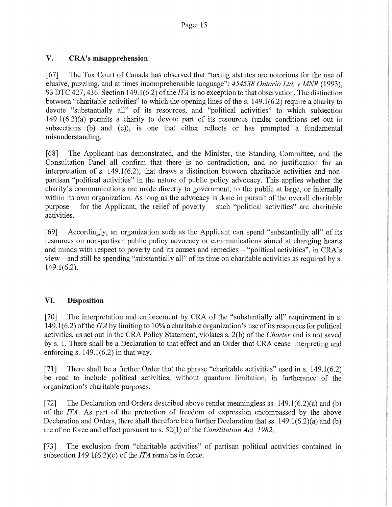# **V. CRA's misapprehension**

[67] The Tax Court of Canada has observed that "taxing statutes are notorious for the use of elusive, puzzling, and at times incomprehensible language": *454538 Ontario Ltd. v MNR* (1993), 93 DTC 427,436. Section 149.1(6.2) of the *ITA* is no exception to that observation. The distinction between "charitable activities" to which the opening lines of the s. 149.1(6.2) require a charity to devote "substantially all" of its resources, and "political activities" to which subsection 149.1(6.2)(a) permits a charity to devote part of its resources (under conditions set out in subsections (b) and (c)), is one that either reflects or has prompted a fundamental misunderstanding.

[68] The Applicant has demonstrated, and the Minister, the Standing Committee, and the Consultation Panel all confirm that there is no contradiction, and no justification for an interpretation of s.  $149.1(6.2)$ , that draws a distinction between charitable activities and nonpartisan "political activities" in the nature of public policy advocacy. This applies whether the charity's communications are made directly to government, to the public at large, or internally within its own organization. As long as the advocacy is done in pursuit of the overall charitable purpose  $-$  for the Applicant, the relief of poverty  $-$  such "political activities" are charitable activities.

[69] Accordingly, an organization such as the Applicant can spend "substantially all" of its resources on non-partisan public policy advocacy or communications aimed at changing hearts and minds with respect to poverty and its causes and remedies- "political activities", in CRA's view- and still be spending "substantially all" of its time on charitable activities as required by s. 149.1(6.2).

## **VI. Disposition**

[70] The interpretation and enforcement by CRA of the "substantially all" requirement in s. 149.1(6.2) of the *ITA* by limiting to 10% a charitable organization's use of its resources for political activities, as set out in the CRA Policy Statement, violates s. 2(b) of the *Charter* and is not saved by s. 1. There shall be a Declaration to that effect and an Order that CRA cease interpreting and enforcing s.  $149.1(6.2)$  in that way.

[71] There shall be a further Order that the phrase "charitable activities" used in s. 149.1(6.2) be read to include political activities, without quantum limitation, in furtherance of the organization's charitable purposes.

[72] The Declaration and Orders described above render meaningless ss.  $149.1(6.2)(a)$  and (b) of the *ITA.* As part of the protection of freedom of expression encompassed by the above Declaration and Orders, there shall therefore be a further Declaration that ss. 149.1(6.2)(a) and (b) are of no force and effect pursuant to s. 52(1) of the *Constitution Act, 1982.* 

[73] The exclusion from "charitable activities" of partisan political activities contained in subsection 149.1(6.2)(c) of the *ITA* remains in force.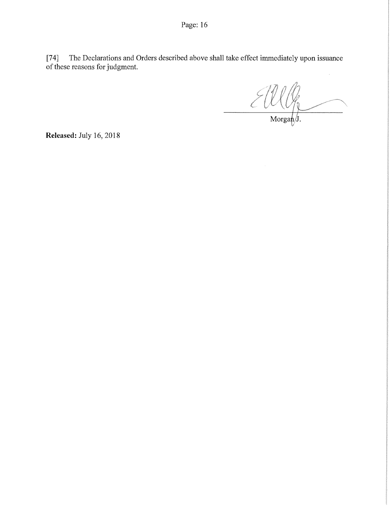Page: 16

[74] The Declarations and Orders described above shall take effect immediately upon issuance of these reasons for judgment.

Morgan $\sqrt{J}$ .

**Released:** July 16,2018